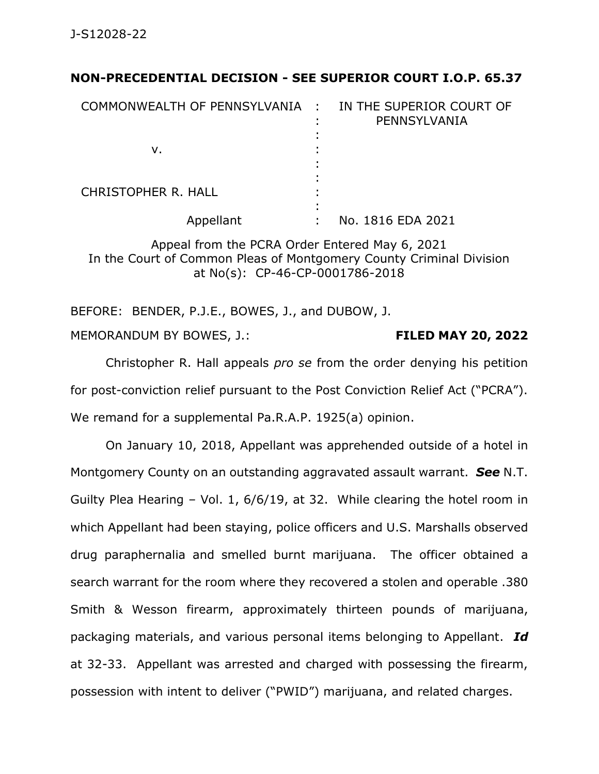## **NON-PRECEDENTIAL DECISION - SEE SUPERIOR COURT I.O.P. 65.37**

| COMMONWEALTH OF PENNSYLVANIA : | IN THE SUPERIOR COURT OF<br>PENNSYLVANIA |
|--------------------------------|------------------------------------------|
| v.                             |                                          |
| <b>CHRISTOPHER R. HALL</b>     |                                          |
| Appellant                      | No. 1816 EDA 2021                        |

Appeal from the PCRA Order Entered May 6, 2021 In the Court of Common Pleas of Montgomery County Criminal Division at No(s): CP-46-CP-0001786-2018

BEFORE: BENDER, P.J.E., BOWES, J., and DUBOW, J.

MEMORANDUM BY BOWES, J.: **FILED MAY 20, 2022**

Christopher R. Hall appeals *pro se* from the order denying his petition for post-conviction relief pursuant to the Post Conviction Relief Act ("PCRA"). We remand for a supplemental Pa.R.A.P. 1925(a) opinion.

On January 10, 2018, Appellant was apprehended outside of a hotel in Montgomery County on an outstanding aggravated assault warrant. *See* N.T. Guilty Plea Hearing – Vol. 1, 6/6/19, at 32. While clearing the hotel room in which Appellant had been staying, police officers and U.S. Marshalls observed drug paraphernalia and smelled burnt marijuana. The officer obtained a search warrant for the room where they recovered a stolen and operable .380 Smith & Wesson firearm, approximately thirteen pounds of marijuana, packaging materials, and various personal items belonging to Appellant. *Id* at 32-33. Appellant was arrested and charged with possessing the firearm, possession with intent to deliver ("PWID") marijuana, and related charges.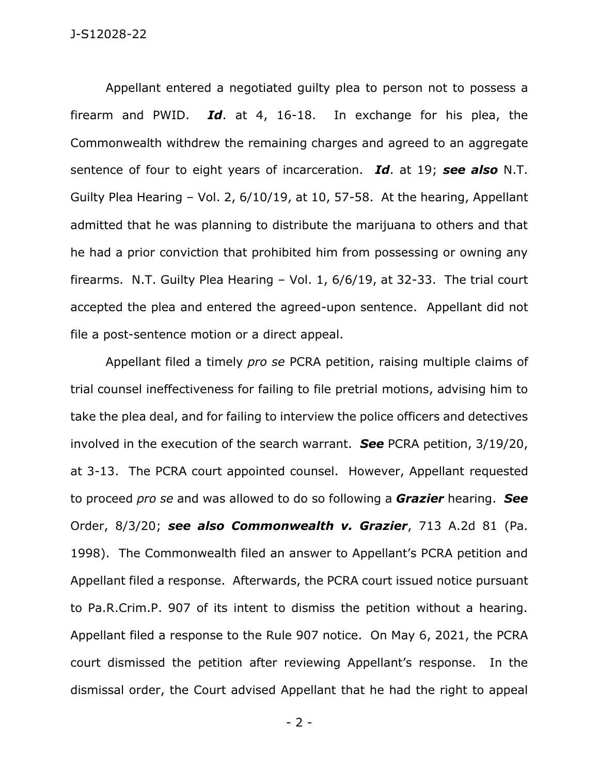Appellant entered a negotiated guilty plea to person not to possess a firearm and PWID. *Id*. at 4, 16-18. In exchange for his plea, the Commonwealth withdrew the remaining charges and agreed to an aggregate sentence of four to eight years of incarceration. *Id*. at 19; *see also* N.T. Guilty Plea Hearing – Vol. 2, 6/10/19, at 10, 57-58. At the hearing, Appellant admitted that he was planning to distribute the marijuana to others and that he had a prior conviction that prohibited him from possessing or owning any firearms. N.T. Guilty Plea Hearing – Vol. 1, 6/6/19, at 32-33. The trial court accepted the plea and entered the agreed-upon sentence. Appellant did not file a post-sentence motion or a direct appeal.

Appellant filed a timely *pro se* PCRA petition, raising multiple claims of trial counsel ineffectiveness for failing to file pretrial motions, advising him to take the plea deal, and for failing to interview the police officers and detectives involved in the execution of the search warrant. *See* PCRA petition, 3/19/20, at 3-13. The PCRA court appointed counsel. However, Appellant requested to proceed *pro se* and was allowed to do so following a *Grazier* hearing. *See*  Order, 8/3/20; *see also Commonwealth v. Grazier*, 713 A.2d 81 (Pa. 1998). The Commonwealth filed an answer to Appellant's PCRA petition and Appellant filed a response. Afterwards, the PCRA court issued notice pursuant to Pa.R.Crim.P. 907 of its intent to dismiss the petition without a hearing. Appellant filed a response to the Rule 907 notice. On May 6, 2021, the PCRA court dismissed the petition after reviewing Appellant's response. In the dismissal order, the Court advised Appellant that he had the right to appeal

- 2 -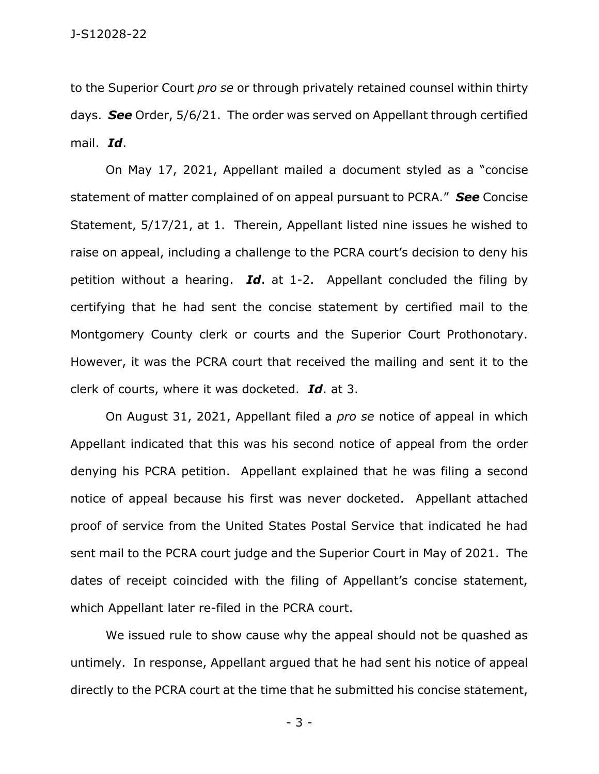to the Superior Court *pro se* or through privately retained counsel within thirty days. *See* Order, 5/6/21. The order was served on Appellant through certified mail. *Id*.

On May 17, 2021, Appellant mailed a document styled as a "concise statement of matter complained of on appeal pursuant to PCRA." *See* Concise Statement, 5/17/21, at 1. Therein, Appellant listed nine issues he wished to raise on appeal, including a challenge to the PCRA court's decision to deny his petition without a hearing. *Id*. at 1-2. Appellant concluded the filing by certifying that he had sent the concise statement by certified mail to the Montgomery County clerk or courts and the Superior Court Prothonotary. However, it was the PCRA court that received the mailing and sent it to the clerk of courts, where it was docketed. *Id*. at 3.

On August 31, 2021, Appellant filed a *pro se* notice of appeal in which Appellant indicated that this was his second notice of appeal from the order denying his PCRA petition. Appellant explained that he was filing a second notice of appeal because his first was never docketed. Appellant attached proof of service from the United States Postal Service that indicated he had sent mail to the PCRA court judge and the Superior Court in May of 2021. The dates of receipt coincided with the filing of Appellant's concise statement, which Appellant later re-filed in the PCRA court.

We issued rule to show cause why the appeal should not be quashed as untimely. In response, Appellant argued that he had sent his notice of appeal directly to the PCRA court at the time that he submitted his concise statement,

- 3 -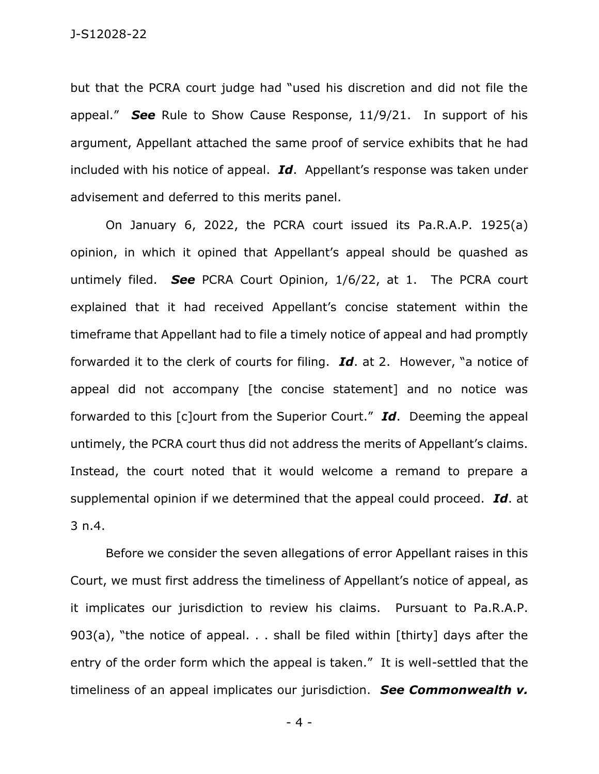but that the PCRA court judge had "used his discretion and did not file the appeal." *See* Rule to Show Cause Response, 11/9/21. In support of his argument, Appellant attached the same proof of service exhibits that he had included with his notice of appeal. *Id*. Appellant's response was taken under advisement and deferred to this merits panel.

On January 6, 2022, the PCRA court issued its Pa.R.A.P. 1925(a) opinion, in which it opined that Appellant's appeal should be quashed as untimely filed. *See* PCRA Court Opinion, 1/6/22, at 1. The PCRA court explained that it had received Appellant's concise statement within the timeframe that Appellant had to file a timely notice of appeal and had promptly forwarded it to the clerk of courts for filing. *Id*. at 2. However, "a notice of appeal did not accompany [the concise statement] and no notice was forwarded to this [c]ourt from the Superior Court." *Id*. Deeming the appeal untimely, the PCRA court thus did not address the merits of Appellant's claims. Instead, the court noted that it would welcome a remand to prepare a supplemental opinion if we determined that the appeal could proceed. *Id*. at 3 n.4.

Before we consider the seven allegations of error Appellant raises in this Court, we must first address the timeliness of Appellant's notice of appeal, as it implicates our jurisdiction to review his claims. Pursuant to Pa.R.A.P. 903(a), "the notice of appeal. . . shall be filed within [thirty] days after the entry of the order form which the appeal is taken." It is well-settled that the timeliness of an appeal implicates our jurisdiction. *See Commonwealth v.* 

- 4 -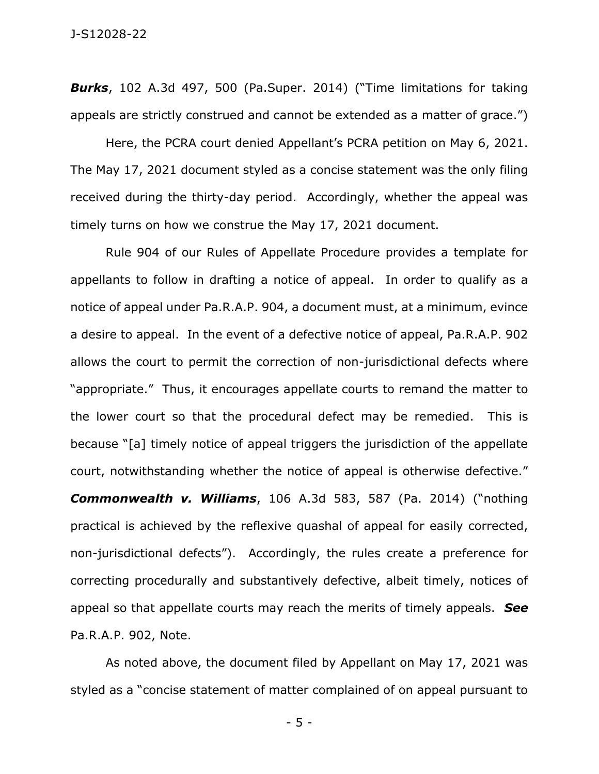*Burks*, 102 A.3d 497, 500 (Pa.Super. 2014) ("Time limitations for taking appeals are strictly construed and cannot be extended as a matter of grace.")

Here, the PCRA court denied Appellant's PCRA petition on May 6, 2021. The May 17, 2021 document styled as a concise statement was the only filing received during the thirty-day period. Accordingly, whether the appeal was timely turns on how we construe the May 17, 2021 document.

Rule 904 of our Rules of Appellate Procedure provides a template for appellants to follow in drafting a notice of appeal. In order to qualify as a notice of appeal under Pa.R.A.P. 904, a document must, at a minimum, evince a desire to appeal. In the event of a defective notice of appeal, Pa.R.A.P. 902 allows the court to permit the correction of non-jurisdictional defects where "appropriate." Thus, it encourages appellate courts to remand the matter to the lower court so that the procedural defect may be remedied. This is because "[a] timely notice of appeal triggers the jurisdiction of the appellate court, notwithstanding whether the notice of appeal is otherwise defective." *Commonwealth v. Williams*, 106 A.3d 583, 587 (Pa. 2014) ("nothing practical is achieved by the reflexive quashal of appeal for easily corrected, non-jurisdictional defects"). Accordingly, the rules create a preference for correcting procedurally and substantively defective, albeit timely, notices of appeal so that appellate courts may reach the merits of timely appeals. *See*  Pa.R.A.P. 902, Note.

As noted above, the document filed by Appellant on May 17, 2021 was styled as a "concise statement of matter complained of on appeal pursuant to

- 5 -